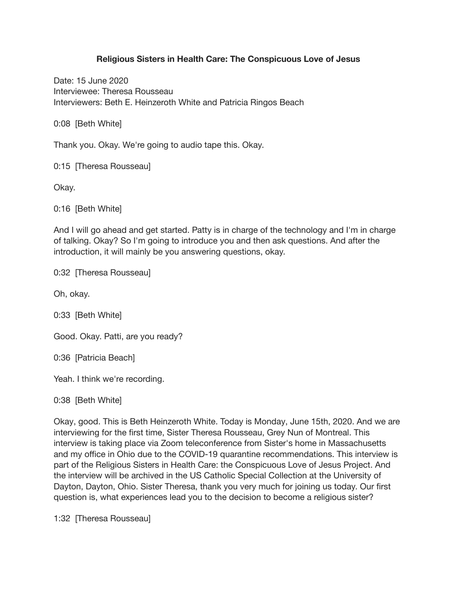#### **Religious Sisters in Health Care: The Conspicuous Love of Jesus**

Date: 15 June 2020 Interviewee: Theresa Rousseau Interviewers: Beth E. Heinzeroth White and Patricia Ringos Beach

0:08 [Beth White]

Thank you. Okay. We're going to audio tape this. Okay.

0:15 [Theresa Rousseau]

Okay.

0:16 [Beth White]

And I will go ahead and get started. Patty is in charge of the technology and I'm in charge of talking. Okay? So I'm going to introduce you and then ask questions. And after the introduction, it will mainly be you answering questions, okay.

0:32 [Theresa Rousseau]

Oh, okay.

0:33 [Beth White]

Good. Okay. Patti, are you ready?

0:36 [Patricia Beach]

Yeah. I think we're recording.

0:38 [Beth White]

Okay, good. This is Beth Heinzeroth White. Today is Monday, June 15th, 2020. And we are interviewing for the first time, Sister Theresa Rousseau, Grey Nun of Montreal. This interview is taking place via Zoom teleconference from Sister's home in Massachusetts and my office in Ohio due to the COVID-19 quarantine recommendations. This interview is part of the Religious Sisters in Health Care: the Conspicuous Love of Jesus Project. And the interview will be archived in the US Catholic Special Collection at the University of Dayton, Dayton, Ohio. Sister Theresa, thank you very much for joining us today. Our first question is, what experiences lead you to the decision to become a religious sister?

1:32 [Theresa Rousseau]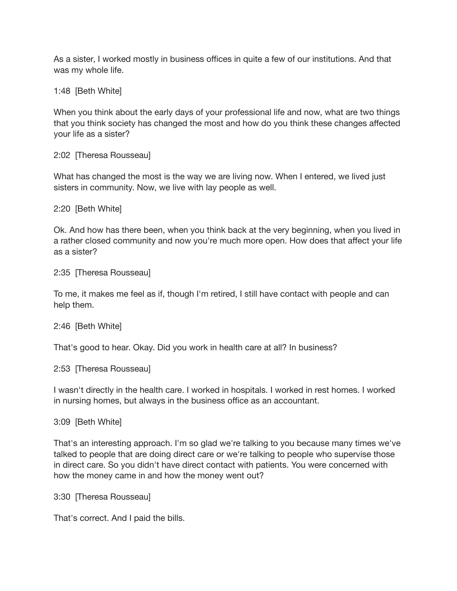As a sister, I worked mostly in business offices in quite a few of our institutions. And that was my whole life.

1:48 [Beth White]

When you think about the early days of your professional life and now, what are two things that you think society has changed the most and how do you think these changes affected your life as a sister?

2:02 [Theresa Rousseau]

What has changed the most is the way we are living now. When I entered, we lived just sisters in community. Now, we live with lay people as well.

2:20 [Beth White]

Ok. And how has there been, when you think back at the very beginning, when you lived in a rather closed community and now you're much more open. How does that affect your life as a sister?

2:35 [Theresa Rousseau]

To me, it makes me feel as if, though I'm retired, I still have contact with people and can help them.

2:46 [Beth White]

That's good to hear. Okay. Did you work in health care at all? In business?

2:53 [Theresa Rousseau]

I wasn't directly in the health care. I worked in hospitals. I worked in rest homes. I worked in nursing homes, but always in the business office as an accountant.

3:09 [Beth White]

That's an interesting approach. I'm so glad we're talking to you because many times we've talked to people that are doing direct care or we're talking to people who supervise those in direct care. So you didn't have direct contact with patients. You were concerned with how the money came in and how the money went out?

3:30 [Theresa Rousseau]

That's correct. And I paid the bills.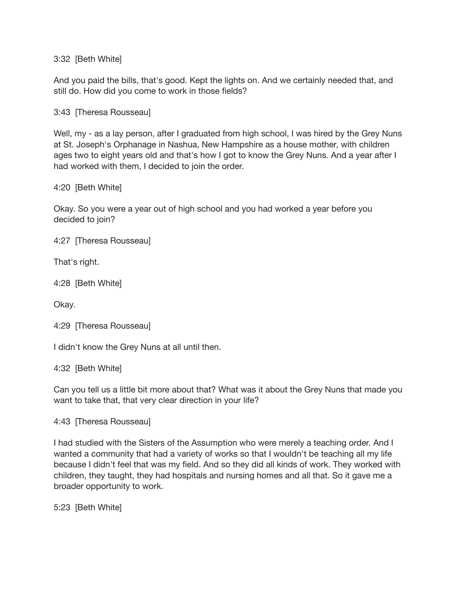3:32 [Beth White]

And you paid the bills, that's good. Kept the lights on. And we certainly needed that, and still do. How did you come to work in those fields?

3:43 [Theresa Rousseau]

Well, my - as a lay person, after I graduated from high school, I was hired by the Grey Nuns at St. Joseph's Orphanage in Nashua, New Hampshire as a house mother, with children ages two to eight years old and that's how I got to know the Grey Nuns. And a year after I had worked with them, I decided to join the order.

4:20 [Beth White]

Okay. So you were a year out of high school and you had worked a year before you decided to join?

4:27 [Theresa Rousseau]

That's right.

4:28 [Beth White]

Okay.

```
4:29 [Theresa Rousseau]
```
I didn't know the Grey Nuns at all until then.

4:32 [Beth White]

Can you tell us a little bit more about that? What was it about the Grey Nuns that made you want to take that, that very clear direction in your life?

4:43 [Theresa Rousseau]

I had studied with the Sisters of the Assumption who were merely a teaching order. And I wanted a community that had a variety of works so that I wouldn't be teaching all my life because I didn't feel that was my field. And so they did all kinds of work. They worked with children, they taught, they had hospitals and nursing homes and all that. So it gave me a broader opportunity to work.

5:23 [Beth White]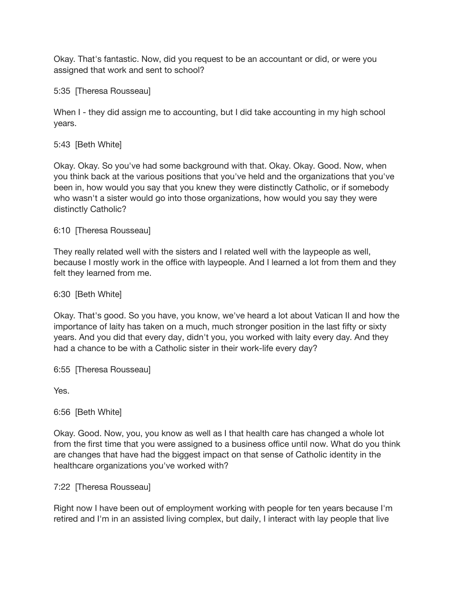Okay. That's fantastic. Now, did you request to be an accountant or did, or were you assigned that work and sent to school?

5:35 [Theresa Rousseau]

When I - they did assign me to accounting, but I did take accounting in my high school years.

## 5:43 [Beth White]

Okay. Okay. So you've had some background with that. Okay. Okay. Good. Now, when you think back at the various positions that you've held and the organizations that you've been in, how would you say that you knew they were distinctly Catholic, or if somebody who wasn't a sister would go into those organizations, how would you say they were distinctly Catholic?

## 6:10 [Theresa Rousseau]

They really related well with the sisters and I related well with the laypeople as well, because I mostly work in the office with laypeople. And I learned a lot from them and they felt they learned from me.

## 6:30 [Beth White]

Okay. That's good. So you have, you know, we've heard a lot about Vatican II and how the importance of laity has taken on a much, much stronger position in the last fifty or sixty years. And you did that every day, didn't you, you worked with laity every day. And they had a chance to be with a Catholic sister in their work-life every day?

6:55 [Theresa Rousseau]

Yes.

# 6:56 [Beth White]

Okay. Good. Now, you, you know as well as I that health care has changed a whole lot from the first time that you were assigned to a business office until now. What do you think are changes that have had the biggest impact on that sense of Catholic identity in the healthcare organizations you've worked with?

### 7:22 [Theresa Rousseau]

Right now I have been out of employment working with people for ten years because I'm retired and I'm in an assisted living complex, but daily, I interact with lay people that live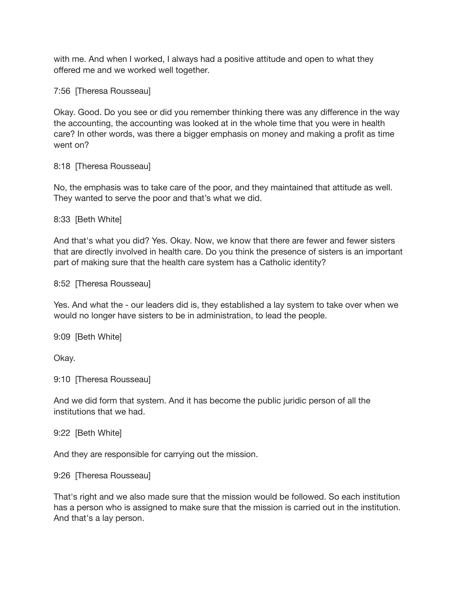with me. And when I worked, I always had a positive attitude and open to what they offered me and we worked well together.

7:56 [Theresa Rousseau]

Okay. Good. Do you see or did you remember thinking there was any difference in the way the accounting, the accounting was looked at in the whole time that you were in health care? In other words, was there a bigger emphasis on money and making a profit as time went on?

8:18 [Theresa Rousseau]

No, the emphasis was to take care of the poor, and they maintained that attitude as well. They wanted to serve the poor and that's what we did.

8:33 [Beth White]

And that's what you did? Yes. Okay. Now, we know that there are fewer and fewer sisters that are directly involved in health care. Do you think the presence of sisters is an important part of making sure that the health care system has a Catholic identity?

8:52 [Theresa Rousseau]

Yes. And what the - our leaders did is, they established a lay system to take over when we would no longer have sisters to be in administration, to lead the people.

9:09 [Beth White]

Okay.

9:10 [Theresa Rousseau]

And we did form that system. And it has become the public juridic person of all the institutions that we had.

9:22 [Beth White]

And they are responsible for carrying out the mission.

9:26 [Theresa Rousseau]

That's right and we also made sure that the mission would be followed. So each institution has a person who is assigned to make sure that the mission is carried out in the institution. And that's a lay person.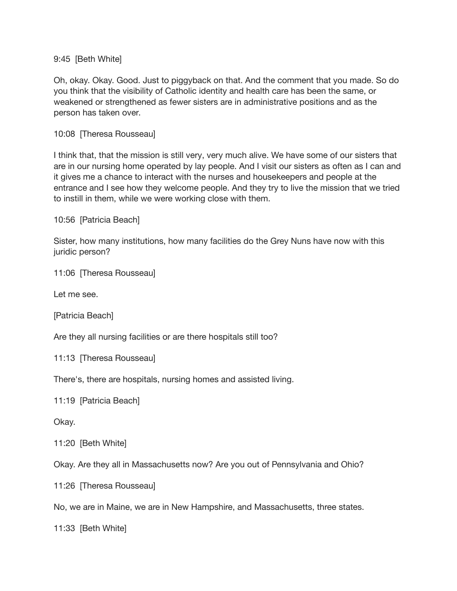#### 9:45 [Beth White]

Oh, okay. Okay. Good. Just to piggyback on that. And the comment that you made. So do you think that the visibility of Catholic identity and health care has been the same, or weakened or strengthened as fewer sisters are in administrative positions and as the person has taken over.

10:08 [Theresa Rousseau]

I think that, that the mission is still very, very much alive. We have some of our sisters that are in our nursing home operated by lay people. And I visit our sisters as often as I can and it gives me a chance to interact with the nurses and housekeepers and people at the entrance and I see how they welcome people. And they try to live the mission that we tried to instill in them, while we were working close with them.

10:56 [Patricia Beach]

Sister, how many institutions, how many facilities do the Grey Nuns have now with this juridic person?

11:06 [Theresa Rousseau]

Let me see.

[Patricia Beach]

Are they all nursing facilities or are there hospitals still too?

```
11:13 [Theresa Rousseau]
```
There's, there are hospitals, nursing homes and assisted living.

11:19 [Patricia Beach]

Okay.

11:20 [Beth White]

Okay. Are they all in Massachusetts now? Are you out of Pennsylvania and Ohio?

11:26 [Theresa Rousseau]

No, we are in Maine, we are in New Hampshire, and Massachusetts, three states.

11:33 [Beth White]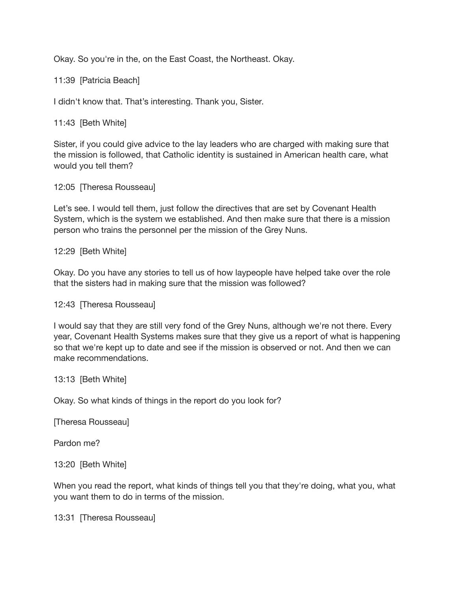Okay. So you're in the, on the East Coast, the Northeast. Okay.

11:39 [Patricia Beach]

I didn't know that. That's interesting. Thank you, Sister.

11:43 [Beth White]

Sister, if you could give advice to the lay leaders who are charged with making sure that the mission is followed, that Catholic identity is sustained in American health care, what would you tell them?

12:05 [Theresa Rousseau]

Let's see. I would tell them, just follow the directives that are set by Covenant Health System, which is the system we established. And then make sure that there is a mission person who trains the personnel per the mission of the Grey Nuns.

12:29 [Beth White]

Okay. Do you have any stories to tell us of how laypeople have helped take over the role that the sisters had in making sure that the mission was followed?

12:43 [Theresa Rousseau]

I would say that they are still very fond of the Grey Nuns, although we're not there. Every year, Covenant Health Systems makes sure that they give us a report of what is happening so that we're kept up to date and see if the mission is observed or not. And then we can make recommendations.

13:13 [Beth White]

Okay. So what kinds of things in the report do you look for?

[Theresa Rousseau]

Pardon me?

13:20 [Beth White]

When you read the report, what kinds of things tell you that they're doing, what you, what you want them to do in terms of the mission.

13:31 [Theresa Rousseau]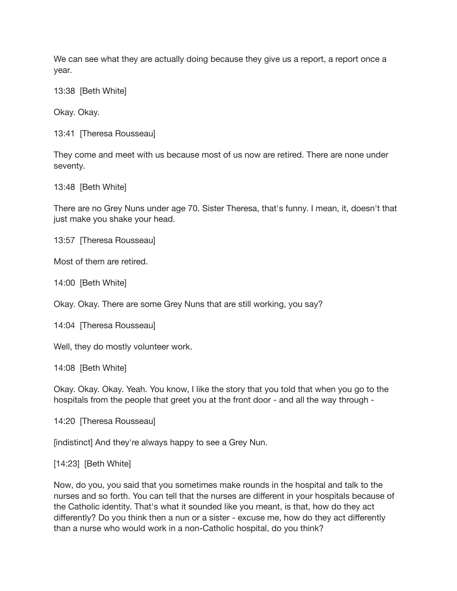We can see what they are actually doing because they give us a report, a report once a year.

13:38 [Beth White]

Okay. Okay.

13:41 [Theresa Rousseau]

They come and meet with us because most of us now are retired. There are none under seventy.

13:48 [Beth White]

There are no Grey Nuns under age 70. Sister Theresa, that's funny. I mean, it, doesn't that just make you shake your head.

13:57 [Theresa Rousseau]

Most of them are retired.

14:00 [Beth White]

Okay. Okay. There are some Grey Nuns that are still working, you say?

14:04 [Theresa Rousseau]

Well, they do mostly volunteer work.

14:08 [Beth White]

Okay. Okay. Okay. Yeah. You know, I like the story that you told that when you go to the hospitals from the people that greet you at the front door - and all the way through -

14:20 [Theresa Rousseau]

[indistinct] And they're always happy to see a Grey Nun.

[14:23] [Beth White]

Now, do you, you said that you sometimes make rounds in the hospital and talk to the nurses and so forth. You can tell that the nurses are different in your hospitals because of the Catholic identity. That's what it sounded like you meant, is that, how do they act differently? Do you think then a nun or a sister - excuse me, how do they act differently than a nurse who would work in a non-Catholic hospital, do you think?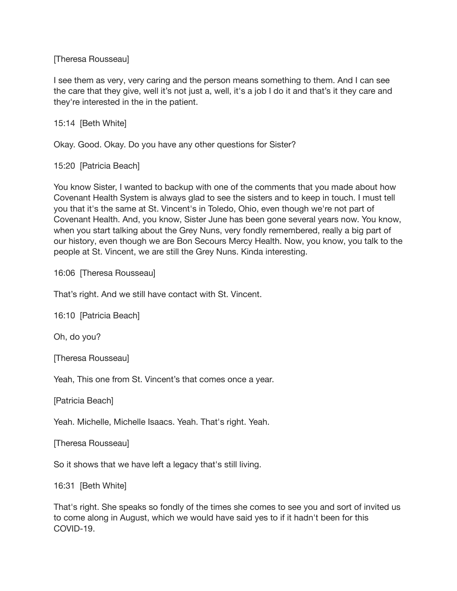[Theresa Rousseau]

I see them as very, very caring and the person means something to them. And I can see the care that they give, well it's not just a, well, it's a job I do it and that's it they care and they're interested in the in the patient.

15:14 [Beth White]

Okay. Good. Okay. Do you have any other questions for Sister?

15:20 [Patricia Beach]

You know Sister, I wanted to backup with one of the comments that you made about how Covenant Health System is always glad to see the sisters and to keep in touch. I must tell you that it's the same at St. Vincent's in Toledo, Ohio, even though we're not part of Covenant Health. And, you know, Sister June has been gone several years now. You know, when you start talking about the Grey Nuns, very fondly remembered, really a big part of our history, even though we are Bon Secours Mercy Health. Now, you know, you talk to the people at St. Vincent, we are still the Grey Nuns. Kinda interesting.

16:06 [Theresa Rousseau]

That's right. And we still have contact with St. Vincent.

16:10 [Patricia Beach]

Oh, do you?

[Theresa Rousseau]

Yeah, This one from St. Vincent's that comes once a year.

[Patricia Beach]

Yeah. Michelle, Michelle Isaacs. Yeah. That's right. Yeah.

[Theresa Rousseau]

So it shows that we have left a legacy that's still living.

16:31 [Beth White]

That's right. She speaks so fondly of the times she comes to see you and sort of invited us to come along in August, which we would have said yes to if it hadn't been for this COVID-19.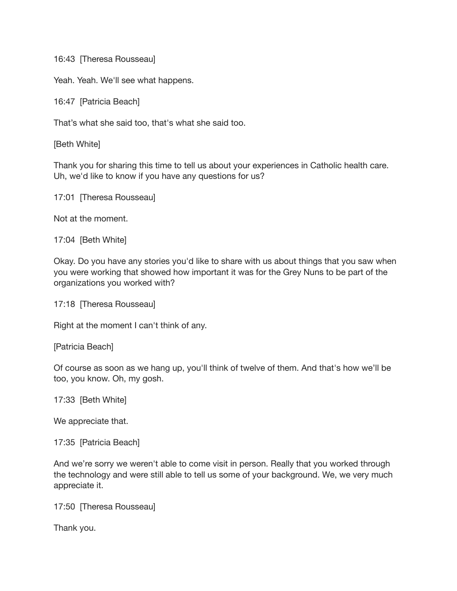16:43 [Theresa Rousseau]

Yeah. Yeah. We'll see what happens.

16:47 [Patricia Beach]

That's what she said too, that's what she said too.

[Beth White]

Thank you for sharing this time to tell us about your experiences in Catholic health care. Uh, we'd like to know if you have any questions for us?

```
17:01 [Theresa Rousseau]
```
Not at the moment.

17:04 [Beth White]

Okay. Do you have any stories you'd like to share with us about things that you saw when you were working that showed how important it was for the Grey Nuns to be part of the organizations you worked with?

17:18 [Theresa Rousseau]

Right at the moment I can't think of any.

[Patricia Beach]

Of course as soon as we hang up, you'll think of twelve of them. And that's how we'll be too, you know. Oh, my gosh.

17:33 [Beth White]

We appreciate that.

17:35 [Patricia Beach]

And we're sorry we weren't able to come visit in person. Really that you worked through the technology and were still able to tell us some of your background. We, we very much appreciate it.

17:50 [Theresa Rousseau]

Thank you.